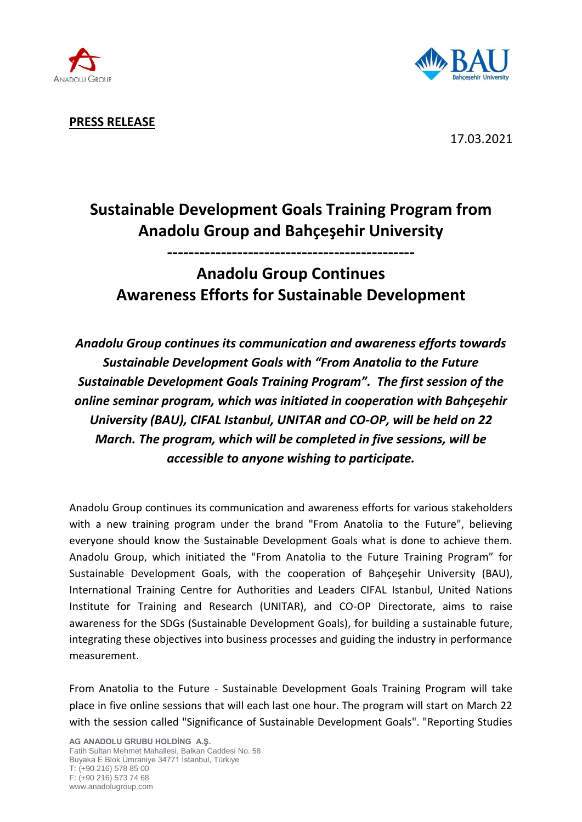



**PRESS RELEASE**

17.03.2021

# **Sustainable Development Goals Training Program from Anadolu Group and Bahçeşehir University**

**----------------------------------------------**

## **Anadolu Group Continues Awareness Efforts for Sustainable Development**

*Anadolu Group continues its communication and awareness efforts towards Sustainable Development Goals with "From Anatolia to the Future Sustainable Development Goals Training Program". The first session of the online seminar program, which was initiated in cooperation with Bahçeşehir University (BAU), CIFAL Istanbul, UNITAR and CO-OP, will be held on 22 March. The program, which will be completed in five sessions, will be accessible to anyone wishing to participate.*

Anadolu Group continues its communication and awareness efforts for various stakeholders with a new training program under the brand "From Anatolia to the Future", believing everyone should know the Sustainable Development Goals what is done to achieve them. Anadolu Group, which initiated the "From Anatolia to the Future Training Program" for Sustainable Development Goals, with the cooperation of Bahçeşehir University (BAU), International Training Centre for Authorities and Leaders CIFAL Istanbul, United Nations Institute for Training and Research (UNITAR), and CO-OP Directorate, aims to raise awareness for the SDGs (Sustainable Development Goals), for building a sustainable future, integrating these objectives into business processes and guiding the industry in performance measurement.

From Anatolia to the Future - Sustainable Development Goals Training Program will take place in five online sessions that will each last one hour. The program will start on March 22 with the session called "Significance of Sustainable Development Goals". "Reporting Studies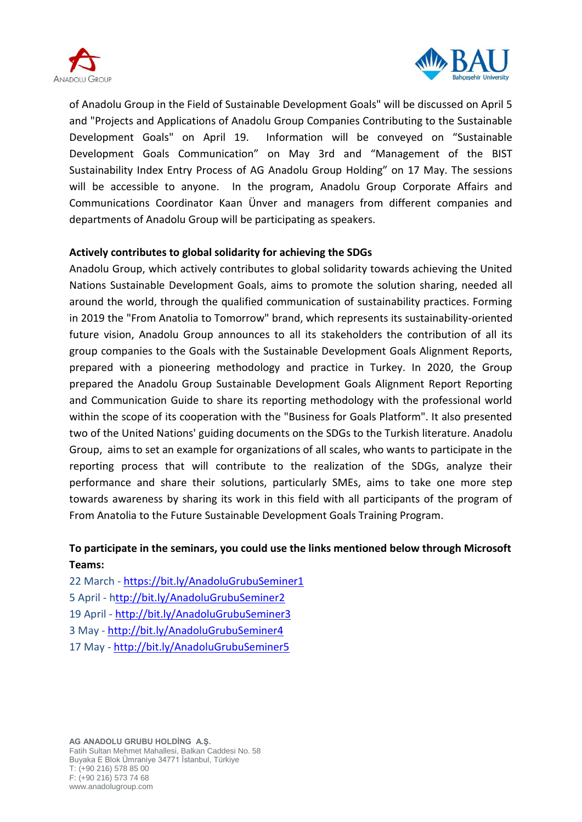



of Anadolu Group in the Field of Sustainable Development Goals" will be discussed on April 5 and "Projects and Applications of Anadolu Group Companies Contributing to the Sustainable Development Goals" on April 19. Information will be conveyed on "Sustainable Development Goals Communication" on May 3rd and "Management of the BIST Sustainability Index Entry Process of AG Anadolu Group Holding" on 17 May. The sessions will be accessible to anyone. In the program, Anadolu Group Corporate Affairs and Communications Coordinator Kaan Ünver and managers from different companies and departments of Anadolu Group will be participating as speakers.

## **Actively contributes to global solidarity for achieving the SDGs**

Anadolu Group, which actively contributes to global solidarity towards achieving the United Nations Sustainable Development Goals, aims to promote the solution sharing, needed all around the world, through the qualified communication of sustainability practices. Forming in 2019 the "From Anatolia to Tomorrow" brand, which represents its sustainability-oriented future vision, Anadolu Group announces to all its stakeholders the contribution of all its group companies to the Goals with the Sustainable Development Goals Alignment Reports, prepared with a pioneering methodology and practice in Turkey. In 2020, the Group prepared the Anadolu Group Sustainable Development Goals Alignment Report Reporting and Communication Guide to share its reporting methodology with the professional world within the scope of its cooperation with the "Business for Goals Platform". It also presented two of the United Nations' guiding documents on the SDGs to the Turkish literature. Anadolu Group, aims to set an example for organizations of all scales, who wants to participate in the reporting process that will contribute to the realization of the SDGs, analyze their performance and share their solutions, particularly SMEs, aims to take one more step towards awareness by sharing its work in this field with all participants of the program of From Anatolia to the Future Sustainable Development Goals Training Program.

## **To participate in the seminars, you could use the links mentioned below through Microsoft Teams:**

22 March - <https://bit.ly/AnadoluGrubuSeminer1> 5 April - <http://bit.ly/AnadoluGrubuSeminer2> 19 April - <http://bit.ly/AnadoluGrubuSeminer3> 3 May - <http://bit.ly/AnadoluGrubuSeminer4> 17 May - <http://bit.ly/AnadoluGrubuSeminer5>

**AG ANADOLU GRUBU HOLDİNG A.Ş.** Fatih Sultan Mehmet Mahallesi, Balkan Caddesi No. 58 Buyaka E Blok Ümraniye 34771 İstanbul, Türkiye T: (+90 216) 578 85 00 F: (+90 216) 573 74 68 www.anadolugroup.com